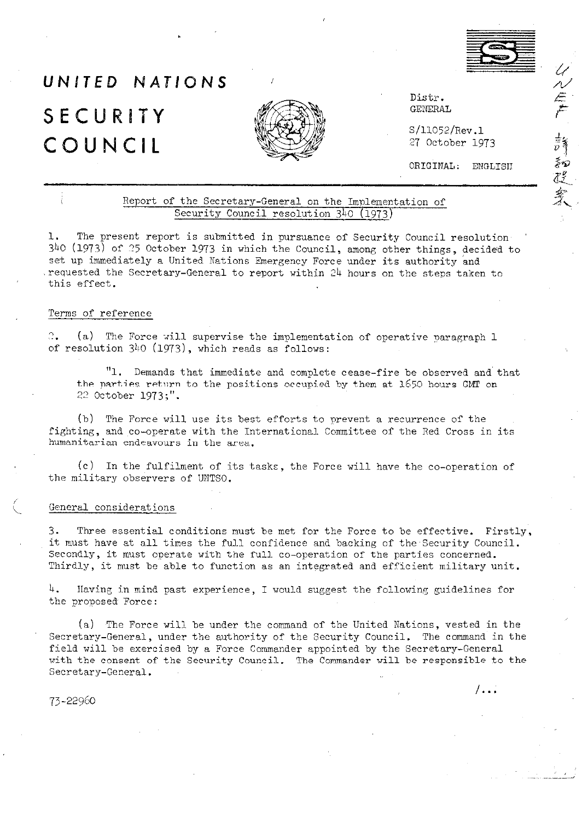

心气产 請知己家人

# UNITED NATIONS SECURITY COUNCIL



Distr. GENERAL

S/11052/Rev.1 27 October 1973

ORIGINAL: ENGLISH

 $1 \cdot \ldots$ 

### Report of the Secretary-General on the Implementation of Security Council resolution 340 (1973)

1. The present report is submitted in pursuance of Security Council resolution, 340 (1973) of 25 October 1973 in which the Council, among other things, decided to set up immediately a United Nations Emergency Force under its authority and .requested the Secretary-General to report within 24 hours on the steps taken to this effect.

#### Terms of reference

 $\Omega_{\bullet}$  $(a)$  The Force will supervise the implementation of operative paragraph 1 of resolution 340 (1973), which reads as follows:

"1. Demands that immediate and complete cease-fire be observed and that the parties return to the posjtions occupjed by them at 1650 hours GMT on 22 October 1973;".

(b) The Force will use its best efforts to prevent a recurrence of the fighting, and co-operate with the International Committee of the Red Cross in its humanitarian endeavours in the area.

(c) In the fulfilment of its tasks, the Force will have the co-operation of the military observers of UNTSO.

#### General considerations

3. Three essential conditions must be met for the Force to be effective. Firstly, it must have at all times the full confidence and backing of the Security Council. Secondly, it must operate with the full co-operation of the parties concerned. Thirdly, it must be able to function as an integrated and efficient military unit.

4. Having in mind past experience, I would suggest the following guidelines for the proposed Force:

(a) The Force will be under the command of the United Nations, vested in the secretary-General, under the authority of the Security Council. The command in the field will be exercised by a Force Commander appointed by the Secretary-General with the consent of the Security Council. The Commander will be responsible to the Secretary-General.

73-22960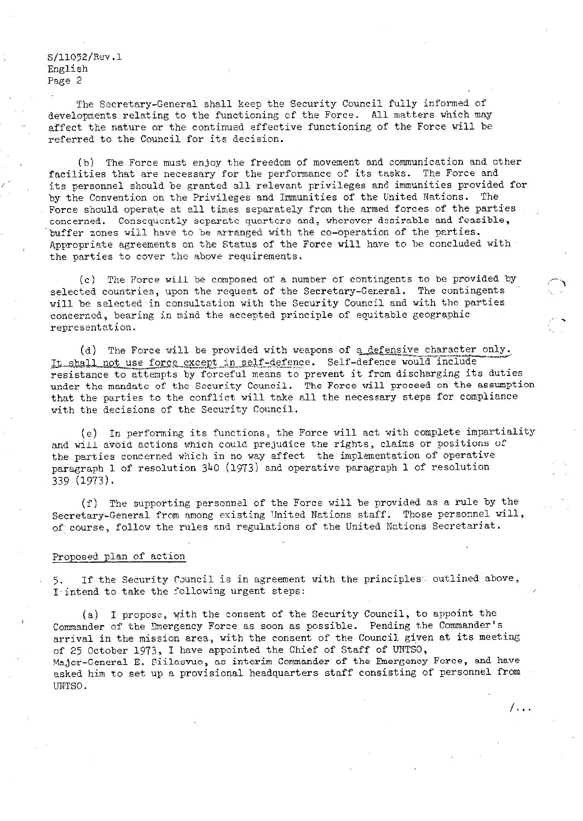S/11052/Rev.l English Page 2

The Secretary-General shall keep the Security Council fully informed of developments relating to the functioning of the Force. All matters which may affect the nature or the continued effective functioning of the Force will be referred to the Council for its decision.

(b) The Force must enjoy the freedom of movement and communication and other facilities that are necessary for the performance of its tasks. The Force and its personnel should be granted all relevant privileges and immunities provided for by the Convention on the Privileges and Immunities of the United Nations. The Force should operate at all times separately from the armed forces of the parties concerned. Consequently separate quarters and, wherever desirable and feasible, 'buffer zones will have to be arranged with the co-operation of the parties. Appropriate agreements on the Status of the Force will have to be concluded with the parties to cover the above requirements.

(c) The Force will be composed of a number of contingents to be provided by selected countries, upon the request of the Secretary-Ger.eral. The contingents will be selected in consultation with the Security Council and with the parties concerned, bearing in mind the accepted principle of equitable geographic representation.

(d) The Force will be provided with weapons of a defensive character only. It shall not use force except in self-defence. Self-defence would include<br>resistance to attempts by forceful means to prevent it from discharging its duties under the mandate of the Security Council. The Force will proceed on the assumption that the parties to the conflict will take all the necessary steps for compliance with the decisions of the Security Council.

(e) In performing its functions, the Force will act with complete impartiality and will avoid actions which could prejudice the rights, claims or positions of the parties concerned which in no way affect the implementation of operative paragraph 1 of resolution 340 (1973) and operative paragraph 1 of resolution 339 (1973).

(f) The supporting personnel of the Force will be provided as a rule by the Secretary-General from among existing United Nations staff. Those personnel will, of course, follow the rules and regulations of the United Nations Secretariat.

#### Proposed plan of action

5. If the Security Council is in agreement with the principles. outlined above, I intend to take the following urgent steps:

(a) I propose, with the consent of the Security Council, to appoint the Commander of the Snergency Force as soon as possible. Pending the Commander's arrival in the mission area, with the consent of the Council given at its meeting of 25 October 1973, I have appointed the Chief of Staff of UNTSO, Major-General E. Siilasvuo, as interim Commander of the Emergency Force, and have asked him to set up a provisional headquarters staff consisting of personnel from UNTSO.

/ . . .